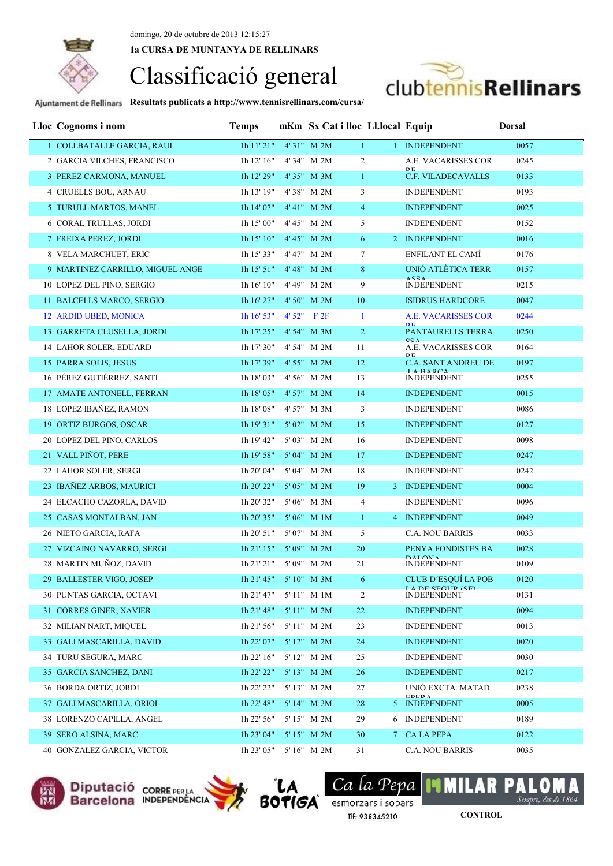**1a CURSA DE MUNTANYA DE RELLINARS**

# Classificació general



| Lloc Cognoms i nom               | <b>Temps</b>           |             | mKm Sx Cat i lloc Ll.local Equip |   |                                                 | <b>Dorsal</b> |
|----------------------------------|------------------------|-------------|----------------------------------|---|-------------------------------------------------|---------------|
| 1 COLLBATALLE GARCIA, RAUL       | $1h$ $11'$ $21"$       | 4'31" M 2M  | $\mathbf{1}$                     |   | 1 INDEPENDENT                                   | 0057          |
| 2 GARCIA VILCHES, FRANCISCO      | 1h 12' 16"             | 4' 34" M 2M | $\overline{c}$                   |   | A.E. VACARISSES COR                             | 0245          |
| 3 PEREZ CARMONA, MANUEL          | 1h 12' 29"             | 4'35" M 3M  | $\mathbf{1}$                     |   | D <sub>E</sub><br>C.F. VILADECAVALLS            | 0133          |
| 4 CRUELLS BOU, ARNAU             | 1h 13' 19"             | 4'38" M 2M  | 3                                |   | <b>INDEPENDENT</b>                              | 0193          |
| 5 TURULL MARTOS, MANEL           | 1h 14' 07"             | 4' 41" M 2M | $\overline{4}$                   |   | <b>INDEPENDENT</b>                              | 0025          |
| <b>6 CORAL TRULLAS, JORDI</b>    | 1h 15' 00"             | 4' 45" M 2M | 5                                |   | <b>INDEPENDENT</b>                              | 0152          |
| 7 FREIXA PEREZ, JORDI            | 1h 15' 10"             | 4' 45" M 2M | 6                                |   | 2 INDEPENDENT                                   | 0016          |
| 8 VELA MARCHUET, ERIC            | 1h 15' 33"             | 4' 47" M 2M | 7                                |   | <b>ENFILANT EL CAMÍ</b>                         | 0176          |
| 9 MARTINEZ CARRILLO, MIGUEL ANGE | 1h 15' 51"             | 4' 48" M 2M | 8                                |   | UNIÓ ATLÈTICA TERR                              | 0157          |
| 10 LOPEZ DEL PINO, SERGIO        | 1h 16' 10"             | 4' 49" M 2M | 9                                |   | <b>ACCA</b><br><b>INDEPENDENT</b>               | 0215          |
| 11 BALCELLS MARCO, SERGIO        | 1h 16' 27"             | 4' 50" M 2M | 10                               |   | <b>ISIDRUS HARDCORE</b>                         | 0047          |
| 12 ARDID UBED, MONICA            | 1h 16' 53''            | 4' 52" F 2F | $\mathbf{1}$                     |   | <b>A.E. VACARISSES COR</b>                      | 0244          |
| 13 GARRETA CLUSELLA, JORDI       | 1h 17' 25"             | 4' 54" M 3M | $\overline{2}$                   |   | <b>DE</b><br><b>PANTAURELLS TERRA</b>           | 0250          |
| 14 LAHOR SOLER, EDUARD           | 1h 17' 30"             | 4' 54" M 2M | 11                               |   | <b>CCA</b><br>A.E. VACARISSES COR               | 0164          |
| 15 PARRA SOLIS, JESUS            | 1h 17' 39"             | 4' 55" M 2M | 12                               |   | <b>DE</b><br><b>C.A. SANT ANDREU DE</b>         | 0197          |
| 16 PÉREZ GUTIÉRREZ, SANTI        | 1h 18' 03"             | 4' 56" M 2M | 13                               |   | <b>IA RADCA</b><br><b>INDEPENDENT</b>           | 0255          |
| 17 AMATE ANTONELL, FERRAN        | 1h 18' 05"             | 4' 57" M 2M | 14                               |   | <b>INDEPENDENT</b>                              | 0015          |
| 18 LOPEZ IBAÑEZ, RAMON           | 1h 18' 08"             | 4' 57" M 3M | 3                                |   | <b>INDEPENDENT</b>                              | 0086          |
| 19 ORTIZ BURGOS, OSCAR           | 1h 19' 31"             | 5' 02" M 2M | 15                               |   | <b>INDEPENDENT</b>                              | 0127          |
| 20 LOPEZ DEL PINO, CARLOS        | 1h 19' 42"             | 5' 03" M 2M | 16                               |   | <b>INDEPENDENT</b>                              | 0098          |
| 21 VALL PIÑOT, PERE              | 1h 19' 58"             | 5' 04" M 2M | 17                               |   | <b>INDEPENDENT</b>                              | 0247          |
| 22 LAHOR SOLER, SERGI            | 1h 20' 04"             | 5'04" M 2M  | 18                               |   | <b>INDEPENDENT</b>                              | 0242          |
| 23 IBAÑEZ ARBOS, MAURICI         | 1h 20' 22"             | 5' 05" M 2M | 19                               |   | 3 INDEPENDENT                                   | 0004          |
| 24 ELCACHO CAZORLA, DAVID        | 1h 20' 32"             | 5'06" M 3M  | $\overline{4}$                   |   | <b>INDEPENDENT</b>                              | 0096          |
| 25 CASAS MONTALBAN, JAN          | 1h 20' 35"             | 5'06" M 1M  | $\mathbf{1}$                     |   | 4 INDEPENDENT                                   | 0049          |
| 26 NIETO GARCIA, RAFA            | 1h 20' 51"             | 5'07" M 3M  | 5                                |   | <b>C.A. NOU BARRIS</b>                          | 0033          |
| 27 VIZCAINO NAVARRO, SERGI       | 1h 21' 15"             | 5' 09" M 2M | 20                               |   | PENYA FONDISTES BA<br><b>DALOMA</b>             | 0028          |
| 28 MARTIN MUÑOZ, DAVID           | 1h 21' 21"             | 5' 09" M 2M | 21                               |   | <b>INDEPENDENT</b>                              | 0109          |
| 29 BALLESTER VIGO, JOSEP         | 1h 21' 45" 5' 10" M 3M |             | 6 <sup>6</sup>                   |   | CLUB D'ESQUÍ LA POB<br><b>I A DE CECHD (CE)</b> | 0120          |
| 30 PUNTAS GARCIA, OCTAVI         | 1h 21' 47"             | 5'11" M 1M  | $\overline{2}$                   |   | <b>INDEPENDENT</b>                              | 0131          |
| 31 CORRES GINER, XAVIER          | 1h 21' 48"             | 5' 11" M 2M | 22                               |   | <b>INDEPENDENT</b>                              | 0094          |
| 32 MILIAN NART, MIQUEL           | 1h 21' 56"             | 5'11" M 2M  | 23                               |   | <b>INDEPENDENT</b>                              | 0013          |
| 33 GALI MASCARILLA, DAVID        | $1h$ 22' 07"           | 5' 12" M 2M | 24                               |   | <b>INDEPENDENT</b>                              | 0020          |
| 34 TURU SEGURA, MARC             | 1h 22' 16"             | 5' 12" M 2M | 25                               |   | <b>INDEPENDENT</b>                              | 0030          |
| 35 GARCIA SANCHEZ, DANI          | 1h 22' 22"             | 5' 13" M 2M | 26                               |   | <b>INDEPENDENT</b>                              | 0217          |
| 36 BORDA ORTIZ, JORDI            | 1h 22' 22"             | 5' 13" M 2M | 27                               |   | UNIÓ EXCTA, MATAD<br><b>EDED A</b>              | 0238          |
| 37 GALI MASCARILLA, ORIOL        | 1h 22' 48"             | 5' 14" M 2M | 28                               |   | 5 INDEPENDENT                                   | 0005          |
| 38 LORENZO CAPILLA, ANGEL        | 1h 22' 56"             | 5' 15" M 2M | 29                               | 6 | <b>INDEPENDENT</b>                              | 0189          |
| 39 SERO ALSINA, MARC             | 1h 23' 04"             | 5' 15" M 2M | 30                               |   | 7 CA LA PEPA                                    | 0122          |
| 40 GONZALEZ GARCIA, VICTOR       | 1h 23' 05"             | 5' 16" M 2M | 31                               |   | C.A. NOU BARRIS                                 | 0035          |







Ca la Pepa **BOTIGA** esmorzars i sopars Tlf: 938345210

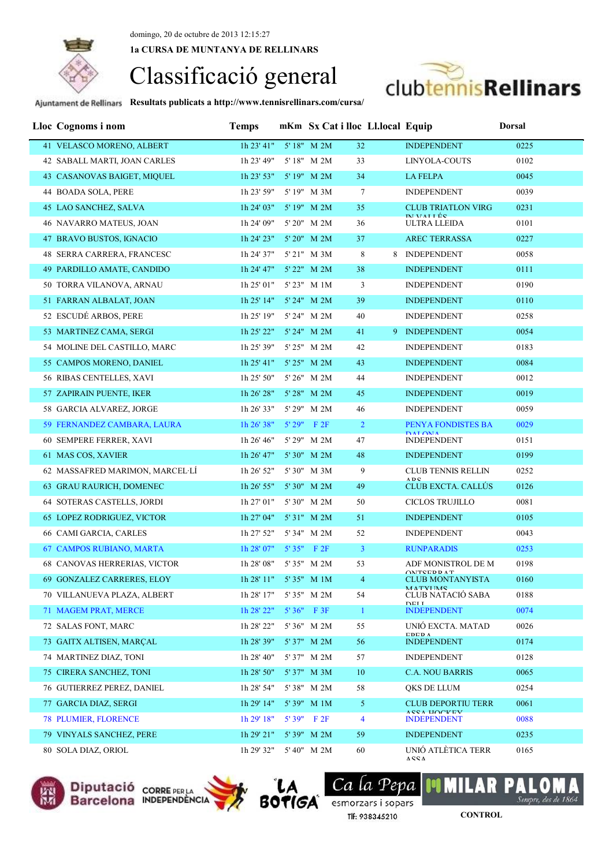**1a CURSA DE MUNTANYA DE RELLINARS**



**Resultats publicats a http://www.tennisrellinars.com/cursa/**

| Lloc Cognoms i nom                  | <b>Temps</b>           |       |                                        | mKm Sx Cat i lloc Ll.local Equip |                                             | <b>Dorsal</b> |
|-------------------------------------|------------------------|-------|----------------------------------------|----------------------------------|---------------------------------------------|---------------|
| 41 VELASCO MORENO, ALBERT           | 1h 23' 41" 5' 18" M 2M |       |                                        | 32                               | <b>INDEPENDENT</b>                          | 0225          |
| 42 SABALL MARTI, JOAN CARLES        | 1h 23' 49"             |       | 5' 18" M 2M                            | 33                               | LINYOLA-COUTS                               | 0102          |
| 43 CASANOVAS BAIGET, MIQUEL         | $1h$ 23' 53"           |       | 5' 19" M 2M                            | 34                               | <b>LA FELPA</b>                             | 0045          |
| 44 BOADA SOLA, PERE                 | 1h 23' 59"             |       | 5' 19" M 3M                            | $\tau$                           | <b>INDEPENDENT</b>                          | 0039          |
| 45 LAO SANCHEZ, SALVA               | 1h 24' 03"             |       | 5' 19" M 2M                            | 35                               | <b>CLUB TRIATLON VIRG</b>                   | 0231          |
| 46 NAVARRO MATEUS, JOAN             | 1h 24' 09"             |       | $5^{\circ}\,20^{\prime\prime}~$ M $2M$ | 36                               | <b>IM VALLÉS</b><br><b>ULTRA LLEIDA</b>     | 0101          |
| 47 BRAVO BUSTOS, IGNACIO            | 1h 24' 23"             |       | 5' 20" M 2M                            | 37                               | <b>AREC TERRASSA</b>                        | 0227          |
| 48 SERRA CARRERA, FRANCESC          | 1h 24' 37"             |       | 5' 21" M 3M                            | 8                                | 8 INDEPENDENT                               | 0058          |
| 49 PARDILLO AMATE, CANDIDO          | 1h 24' 47"             |       | 5' 22" M 2M                            | 38                               | <b>INDEPENDENT</b>                          | 0111          |
| 50 TORRA VILANOVA, ARNAU            | 1h 25' 01"             |       | 5' 23" M 1M                            | 3                                | <b>INDEPENDENT</b>                          | 0190          |
| 51 FARRAN ALBALAT, JOAN             | 1h 25' 14"             |       | 5' 24" M 2M                            | 39                               | <b>INDEPENDENT</b>                          | 0110          |
| 52 ESCUDÉ ARBOS, PERE               | 1h 25' 19"             |       | 5' 24" M 2M                            | 40                               | <b>INDEPENDENT</b>                          | 0258          |
| 53 MARTINEZ CAMA, SERGI             | 1h 25' 22"             |       | 5' 24" M 2M                            | 41                               | 9 INDEPENDENT                               | 0054          |
| 54 MOLINE DEL CASTILLO, MARC        | 1h 25' 39"             |       | 5' 25" M 2M                            | 42                               | <b>INDEPENDENT</b>                          | 0183          |
| 55 CAMPOS MORENO, DANIEL            | 1h 25' 41"             |       | 5' 25" M 2M                            | 43                               | <b>INDEPENDENT</b>                          | 0084          |
| 56 RIBAS CENTELLES, XAVI            | 1h 25' 50"             |       | 5' 26" M 2M                            | 44                               | <b>INDEPENDENT</b>                          | 0012          |
| 57 ZAPIRAIN PUENTE, IKER            | 1h 26' 28"             |       | $5'28''$ M $2M$                        | 45                               | <b>INDEPENDENT</b>                          | 0019          |
| 58 GARCIA ALVAREZ, JORGE            | 1h 26' 33"             |       | 5' 29" M 2M                            | 46                               | <b>INDEPENDENT</b>                          | 0059          |
| 59 FERNANDEZ CAMBARA, LAURA         | 1h 26' 38"             |       | $5'29''$ F 2F                          | $\overline{2}$                   | PENYA FONDISTES BA                          | 0029          |
| 60 SEMPERE FERRER, XAVI             | 1h 26' 46"             |       | 5' 29" M 2M                            | 47                               | <b>DALOMA</b><br><b>INDEPENDENT</b>         | 0151          |
| 61 MAS COS, XAVIER                  | 1h 26' 47"             |       | $5'30''$ M $2M$                        | 48                               | <b>INDEPENDENT</b>                          | 0199          |
| 62 MASSAFRED MARIMON, MARCEL LÍ     | 1h 26' 52"             |       | 5'30" M 3M                             | 9                                | <b>CLUB TENNIS RELLIN</b>                   | 0252          |
| 63 GRAU RAURICH, DOMENEC            | 1h 26' 55"             |       | $5'30''$ M $2M$                        | 49                               | ADC<br><b>CLUB EXCTA. CALLÚS</b>            | 0126          |
| <b>64 SOTERAS CASTELLS, JORDI</b>   | 1h 27' 01"             |       | 5' 30" M 2M                            | 50                               | <b>CICLOS TRUJILLO</b>                      | 0081          |
| <b>65 LOPEZ RODRIGUEZ, VICTOR</b>   | 1h 27' 04"             |       | $5'31''$ M $2M$                        | 51                               | <b>INDEPENDENT</b>                          | 0105          |
| 66 CAMI GARCIA, CARLES              | 1h 27' 52"             |       | 5' 34" M 2M                            | 52                               | <b>INDEPENDENT</b>                          | 0043          |
| <b>67 CAMPOS RUBIANO, MARTA</b>     | 1h 28' 07" 5' 35" F 2F |       |                                        | $\mathbf{3}$                     | <b>RUNPARADIS</b>                           | 0253          |
| <b>68 CANOVAS HERRERIAS, VICTOR</b> | 1h 28' 08" 5' 35" M 2M |       |                                        | 53                               | ADF MONISTROL DE M                          | 0198          |
| 69 GONZALEZ CARRERES, ELOY          | 1h 28' 11" 5' 35" M 1M |       |                                        | $\overline{4}$                   | <b>ONTEEDDAT</b><br><b>CLUB MONTANYISTA</b> | 0160          |
| 70 VILLANUEVA PLAZA, ALBERT         | 1h 28' 17"             |       | 5' 35" M 2M                            | 54                               | <b>MATVIMAC</b><br>CLUB NATACIÓ SABA        | 0188          |
| 71 MAGEM PRAT, MERCE                | 1h 28' 22"             |       | $5'36''$ F 3F                          | $\mathbf{1}$                     | <b>DELL</b><br><b>INDEPENDENT</b>           | 0074          |
| 72 SALAS FONT, MARC                 | 1h 28' 22"             |       | 5' 36" M 2M                            | 55                               | UNIÓ EXCTA, MATAD                           | 0026          |
| 73 GAITX ALTISEN, MARCAL            | 1h 28' 39"             |       | 5'37" M 2M                             | 56                               | <b>EDED A</b><br><b>INDEPENDENT</b>         | 0174          |
| 74 MARTINEZ DIAZ, TONI              | 1h 28' 40"             |       | 5' 37" M 2M                            | 57                               | <b>INDEPENDENT</b>                          | 0128          |
| 75 CIRERA SANCHEZ, TONI             | 1h 28' 50"             |       | 5'37" M 3M                             | 10                               | <b>C.A. NOU BARRIS</b>                      | 0065          |
| 76 GUTIERREZ PEREZ, DANIEL          | 1h 28' 54"             |       | 5' 38" M 2M                            | 58                               | QKS DE LLUM                                 | 0254          |
| 77 GARCIA DIAZ, SERGI               | 1h 29' 14"             |       | 5'39" M 1M                             | 5 <sup>5</sup>                   | <b>CLUB DEPORTIU TERR</b>                   | 0061          |
| <b>78 PLUMIER, FLORENCE</b>         | 1h 29' 18"             | 5'39" | F2F                                    | $\overline{4}$                   | <b>ASSA HOCKEV</b><br><b>INDEPENDENT</b>    | 0088          |
| 79 VINYALS SANCHEZ, PERE            | 1h 29' 21"             |       | 5'39" M 2M                             | 59                               | <b>INDEPENDENT</b>                          | 0235          |
| 80 SOLA DIAZ, ORIOL                 | 1h 29' 32"             |       | 5' 40" M 2M                            | 60                               | UNIÓ ATLÈTICA TERR<br>A C C A               | 0165          |



Diputació corre PER LA Barcelona INDEPENDENCIA



Ca la Pepa esmorzars i sopars Tlf: 938345210

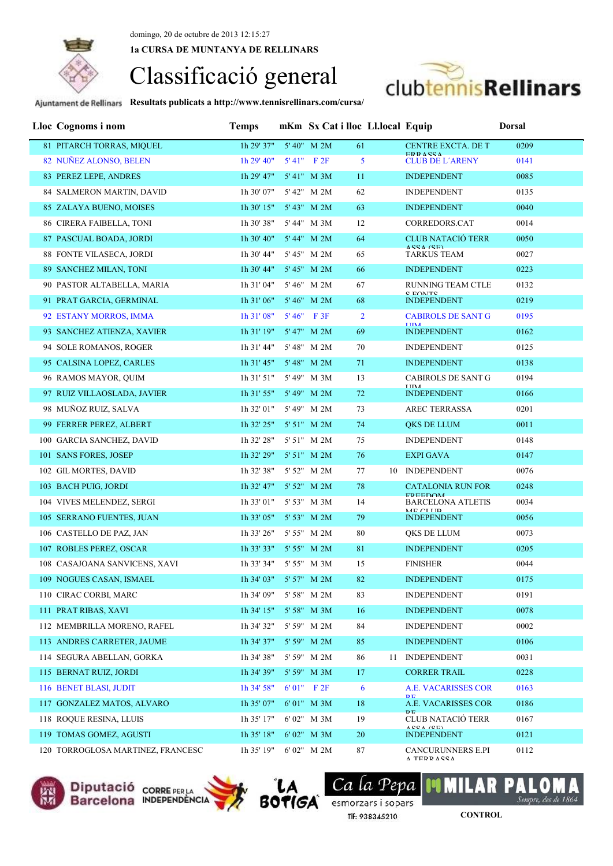**1a CURSA DE MUNTANYA DE RELLINARS**



**Resultats publicats a http://www.tennisrellinars.com/cursa/**

| Lloc Cognoms i nom                | <b>Temps</b>           |                  | mKm Sx Cat i lloc Ll.local Equip |                                      |                           | <b>Dorsal</b> |
|-----------------------------------|------------------------|------------------|----------------------------------|--------------------------------------|---------------------------|---------------|
| 81 PITARCH TORRAS, MIQUEL         | 1h 29' 37"             | 5' 40" M 2M      | 61                               |                                      | <b>CENTRE EXCTA. DE T</b> | 0209          |
| 82 NUÑEZ ALONSO, BELEN            | 1h 29' 40"             | $5'41''$ F $2F$  | 5                                | <b>EDDACCA</b>                       | <b>CLUB DE L'ARENY</b>    | 0141          |
| 83 PEREZ LEPE, ANDRES             | 1h 29' 47"             | 5' 41" M 3M      | 11                               | <b>INDEPENDENT</b>                   |                           | 0085          |
| 84 SALMERON MARTIN, DAVID         | 1h 30' 07"             | 5' 42" M 2M      | 62                               | <b>INDEPENDENT</b>                   |                           | 0135          |
| 85 ZALAYA BUENO, MOISES           | 1h 30' 15"             | 5' 43" M 2M      | 63                               | <b>INDEPENDENT</b>                   |                           | 0040          |
| 86 CIRERA FAIBELLA, TONI          | 1h 30' 38"             | 5' 44" M 3M      | 12                               |                                      | CORREDORS.CAT             | 0014          |
| 87 PASCUAL BOADA, JORDI           | 1h 30' 40"             | 5' 44" M 2M      | 64                               | $ACCA$ $(CE)$                        | <b>CLUB NATACIÓ TERR</b>  | 0050          |
| 88 FONTE VILASECA, JORDI          | 1h 30' 44"             | 5' 45" M 2M      | 65                               | <b>TARKUS TEAM</b>                   |                           | 0027          |
| 89 SANCHEZ MILAN, TONI            | 1h 30' 44"             | 5' 45" M 2M      | 66                               | <b>INDEPENDENT</b>                   |                           | 0223          |
| 90 PASTOR ALTABELLA, MARIA        | 1h 31' 04"             | 5' 46" M 2M      | 67                               |                                      | <b>RUNNING TEAM CTLE</b>  | 0132          |
| 91 PRAT GARCIA, GERMINAL          | 1h 31' 06"             | 5' 46" M 2M      | 68                               | <b>C COMTC</b><br><b>INDEPENDENT</b> |                           | 0219          |
| 92 ESTANY MORROS, IMMA            | 1h 31' 08"             | $5'46''$ F 3F    | $\overline{2}$                   |                                      | <b>CABIROLS DE SANT G</b> | 0195          |
| 93 SANCHEZ ATIENZA, XAVIER        | 1h 31' 19"             | 5' 47" M 2M      | 69                               | <b>TIMA</b><br><b>INDEPENDENT</b>    |                           | 0162          |
| 94 SOLE ROMANOS, ROGER            | 1h 31' 44"             | 5' 48" M 2M      | 70                               | <b>INDEPENDENT</b>                   |                           | 0125          |
| 95 CALSINA LOPEZ, CARLES          | 1h 31' 45"             | 5' 48" M 2M      | 71                               | <b>INDEPENDENT</b>                   |                           | 0138          |
| 96 RAMOS MAYOR, QUIM              | 1h 31' 51"             | 5' 49" M 3M      | 13                               |                                      | <b>CABIROLS DE SANT G</b> | 0194          |
| 97 RUIZ VILLAOSLADA, JAVIER       | $1h$ 31' 55"           | 5'49" M 2M       | 72                               | <b>TIMA</b><br><b>INDEPENDENT</b>    |                           | 0166          |
| 98 MUÑOZ RUIZ, SALVA              | 1h 32' 01"             | 5' 49" M 2M      | 73                               |                                      | AREC TERRASSA             | 0201          |
| 99 FERRER PEREZ, ALBERT           | $1h$ 32' 25"           | 5' 51" M 2M      | 74                               | QKS DE LLUM                          |                           | 0011          |
| 100 GARCIA SANCHEZ, DAVID         | 1h 32' 28"             | 5' 51" M 2M      | 75                               | <b>INDEPENDENT</b>                   |                           | 0148          |
| 101 SANS FORES, JOSEP             | $1h$ 32' 29"           | $5' 51''$ M $2M$ | 76                               | <b>EXPI GAVA</b>                     |                           | 0147          |
| 102 GIL MORTES, DAVID             | 1h 32' 38"             | 5' 52" M 2M      | 77                               | 10 INDEPENDENT                       |                           | 0076          |
| 103 BACH PUIG, JORDI              | $1h$ 32' 47"           | 5' 52" M 2M      | 78                               |                                      | <b>CATALONIA RUN FOR</b>  | 0248          |
| 104 VIVES MELENDEZ, SERGI         | 1h 33' 01"             | 5' 53" M 3M      | 14                               | <b>EDEEDOM</b>                       | <b>BARCELONA ATLETIS</b>  | 0034          |
| 105 SERRANO FUENTES, JUAN         | 1h 33' 05"             | 5' 53" M 2M      | 79                               | ME CITID<br><b>INDEPENDENT</b>       |                           | 0056          |
| 106 CASTELLO DE PAZ, JAN          | 1h 33' 26"             | 5' 55" M 2M      | 80                               | QKS DE LLUM                          |                           | 0073          |
| 107 ROBLES PEREZ, OSCAR           | $1h$ 33' 33"           | 5' 55" M 2M      | 81                               | <b>INDEPENDENT</b>                   |                           | 0205          |
| 108 CASAJOANA SANVICENS, XAVI     | 1h 33' 34"             | 5' 55" M 3M      | 15                               | <b>FINISHER</b>                      |                           | 0044          |
| 109 NOGUES CASAN, ISMAEL          | 1h 34' 03" 5' 57" M 2M |                  | $82\,$                           | <b>INDEPENDENT</b>                   |                           | 0175          |
| 110 CIRAC CORBI, MARC             | 1h 34' 09"             | 5' 58" M 2M      | 83                               | <b>INDEPENDENT</b>                   |                           | 0191          |
| 111 PRAT RIBAS, XAVI              | 1h 34' 15"             | 5' 58" M 3M      | 16                               | <b>INDEPENDENT</b>                   |                           | 0078          |
| 112 MEMBRILLA MORENO, RAFEL       | 1h 34' 32"             | 5' 59" M 2M      | 84                               | <b>INDEPENDENT</b>                   |                           | 0002          |
| 113 ANDRES CARRETER, JAUME        | 1h 34' 37"             | 5' 59" M 2M      | 85                               | <b>INDEPENDENT</b>                   |                           | 0106          |
| 114 SEGURA ABELLAN, GORKA         | 1h 34' 38"             | 5' 59" M 2M      | 86                               | <b>INDEPENDENT</b><br>-11            |                           | 0031          |
| 115 BERNAT RUIZ, JORDI            | 1h 34' 39"             | 5' 59" M 3M      | 17                               | <b>CORRER TRAIL</b>                  |                           | 0228          |
| 116 BENET BLASI, JUDIT            | 1h 34' 58"             | $6'01''$ F $2F$  | 6                                |                                      | A.E. VACARISSES COR       | 0163          |
| 117 GONZALEZ MATOS, ALVARO        | 1h 35' 07"             | 6'01" M 3M       | 18                               | <b>DE</b>                            | A.E. VACARISSES COR       | 0186          |
| 118 ROQUE RESINA, LLUIS           | 1h 35' 17"             | 6'02" M 3M       | 19                               | $\mathbf{D} \mathbf{E}$<br>ACCA (CE) | CLUB NATACIÓ TERR         | 0167          |
| 119 TOMAS GOMEZ, AGUSTI           | $1h$ 35' $18"$         | 6' 02" M 3M      | 20                               | <b>INDEPENDENT</b>                   |                           | 0121          |
| 120 TORROGLOSA MARTINEZ, FRANCESC | 1h 35' 19"             | 6'02" M 2M       | 87                               | A TEDD A CCA                         | <b>CANCURUNNERS E.PI</b>  | 0112          |







Ca la Pepa Tlf: 938345210

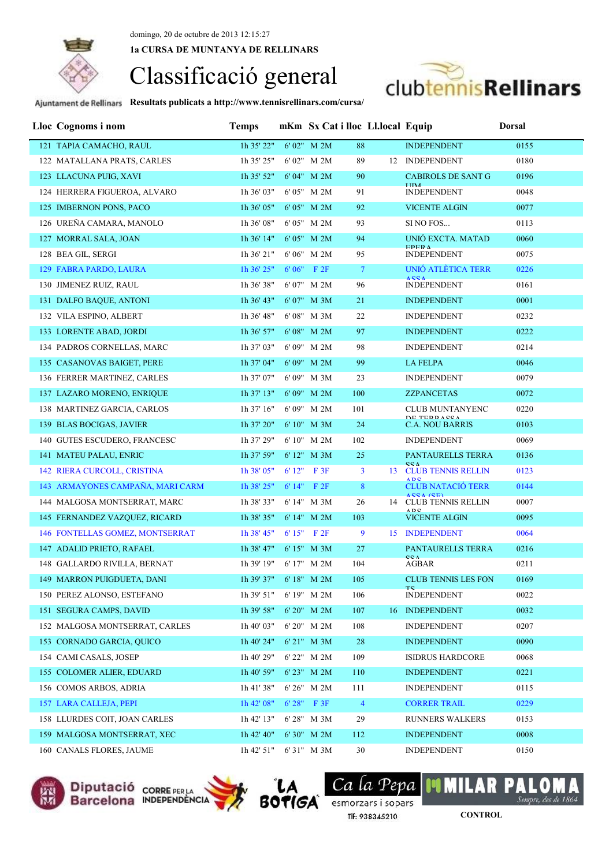**1a CURSA DE MUNTANYA DE RELLINARS**



**Resultats publicats a http://www.tennisrellinars.com/cursa/**

| Lloc Cognoms i nom                 | <b>Temps</b>   |       |                  |                | mKm Sx Cat i lloc Ll.local Equip |                                        | <b>Dorsal</b> |
|------------------------------------|----------------|-------|------------------|----------------|----------------------------------|----------------------------------------|---------------|
| 121 TAPIA CAMACHO, RAUL            | 1h 35' 22"     |       | 6' 02" M 2M      | 88             |                                  | <b>INDEPENDENT</b>                     | 0155          |
| 122 MATALLANA PRATS, CARLES        | 1h 35' 25"     |       | 6'02" M 2M       | 89             |                                  | 12 INDEPENDENT                         | 0180          |
| 123 LLACUNA PUIG, XAVI             | 1h 35' 52"     |       | 6'04" M 2M       | 90             |                                  | <b>CABIROLS DE SANT G</b>              | 0196          |
| 124 HERRERA FIGUEROA, ALVARO       | 1h 36' 03"     |       | 6'05" M 2M       | 91             |                                  | <b>INDEPENDENT</b>                     | 0048          |
| 125 IMBERNON PONS, PACO            | 1h 36' 05"     |       | 6'05" M 2M       | 92             |                                  | <b>VICENTE ALGIN</b>                   | 0077          |
| 126 UREÑA CAMARA, MANOLO           | 1h 36' 08"     |       | 6'05" M 2M       | 93             |                                  | SI NO FOS                              | 0113          |
| 127 MORRAL SALA, JOAN              | 1h 36' 14"     |       | 6' 05" M 2M      | 94             |                                  | UNIÓ EXCTA. MATAD                      | 0060          |
| 128 BEA GIL, SERGI                 | 1h 36' 21"     |       | 6' 06" M 2M      | 95             |                                  | <b>EDED A</b><br><b>INDEPENDENT</b>    | 0075          |
| 129 FABRA PARDO, LAURA             | 1h 36' 25"     |       | $6'06''$ F $2F$  | $\overline{7}$ |                                  | UNIÓ ATLÉTICA TERR                     | 0226          |
| 130 JIMENEZ RUIZ, RAUL             | 1h 36' 38"     |       | 6' 07" M 2M      | 96             |                                  | <b>ACCA</b><br><b>INDEPENDENT</b>      | 0161          |
| 131 DALFO BAQUE, ANTONI            | 1h 36' 43"     |       | 6'07" M 3M       | 21             |                                  | <b>INDEPENDENT</b>                     | 0001          |
| 132 VILA ESPINO, ALBERT            | 1h 36' 48"     |       | 6' 08" M 3M      | 22             |                                  | <b>INDEPENDENT</b>                     | 0232          |
| 133 LORENTE ABAD, JORDI            | 1h 36' 57"     |       | 6' 08" M 2M      | 97             |                                  | <b>INDEPENDENT</b>                     | 0222          |
| 134 PADROS CORNELLAS, MARC         | 1h 37' 03"     |       | 6'09" M 2M       | 98             |                                  | <b>INDEPENDENT</b>                     | 0214          |
| 135 CASANOVAS BAIGET, PERE         | $1h$ 37' 04"   |       | 6' 09" M 2M      | 99             |                                  | <b>LA FELPA</b>                        | 0046          |
| 136 FERRER MARTINEZ, CARLES        | 1h 37' 07"     |       | 6'09" M 3M       | 23             |                                  | <b>INDEPENDENT</b>                     | 0079          |
| 137 LAZARO MORENO, ENRIQUE         | $1h$ 37' $13"$ |       | $6'09''$ M $2M$  | 100            |                                  | <b>ZZPANCETAS</b>                      | 0072          |
| 138 MARTINEZ GARCIA, CARLOS        | 1h 37' 16"     |       | 6'09" M 2M       | 101            |                                  | <b>CLUB MUNTANYENC</b>                 | 0220          |
| 139 BLAS BOCIGAS, JAVIER           | $1h$ 37' $20"$ |       | $6'10''$ M $3M$  | 24             |                                  | DE TEDDACCA<br><b>C.A. NOU BARRIS</b>  | 0103          |
| 140 GUTES ESCUDERO, FRANCESC       | 1h 37' 29"     |       | 6' 10" M 2M      | 102            |                                  | <b>INDEPENDENT</b>                     | 0069          |
| 141 MATEU PALAU, ENRIC             | 1h 37' 59"     |       | 6' 12" M 3M      | 25             |                                  | PANTAURELLS TERRA                      | 0136          |
| <b>142 RIERA CURCOLL, CRISTINA</b> | 1h 38' 05"     | 6'12" | F 3F             | 3 <sup>1</sup> | 13                               | CCA<br><b>CLUB TENNIS RELLIN</b>       | 0123          |
| 143 ARMAYONES CAMPAÑA, MARI CARM   | $1h$ 38' $25"$ |       | $6' 14''$ F $2F$ | 8              |                                  | <b>ADC</b><br><b>CLUB NATACIO TERR</b> | 0144          |
| 144 MALGOSA MONTSERRAT, MARC       | 1h 38' 33"     |       | 6'14" M 3M       | 26             |                                  | ACCA (CE)<br>14 CLUB TENNIS RELLIN     | 0007          |
| 145 FERNANDEZ VAZQUEZ, RICARD      | 1h 38' 35"     |       | 6' 14" M 2M      | 103            |                                  | $A$ DC<br><b>VICENTE ALGIN</b>         | 0095          |
| 146 FONTELLAS GOMEZ, MONTSERRAT    | 1h 38' 45"     |       | 6'15" F 2F       | 9              | 15                               | <b>INDEPENDENT</b>                     | 0064          |
| 147 ADALID PRIETO, RAFAEL          | $1h$ 38' 47"   |       | 6' 15" M 3M      | 27             |                                  | PANTAURELLS TERRA                      | 0216          |
| 148 GALLARDO RIVILLA, BERNAT       | 1h 39' 19"     |       | 6'17" M 2M       | 104            |                                  | CCA<br>AGBAR                           | 0211          |
| 149 MARRON PUIGDUETA, DANI         | 1h 39' 37"     |       | 6' 18" M 2M      | 105            |                                  | <b>CLUB TENNIS LES FON</b>             | 0169          |
| 150 PEREZ ALONSO, ESTEFANO         | 1h 39' 51"     |       | 6' 19" M 2M      | 106            |                                  | TC.<br><b>INDEPENDENT</b>              | 0022          |
| 151 SEGURA CAMPS, DAVID            | 1h 39' 58"     |       | 6' 20" M 2M      | 107            |                                  | 16 INDEPENDENT                         | 0032          |
| 152 MALGOSA MONTSERRAT, CARLES     | 1h 40' 03"     |       | 6' 20" M 2M      | 108            |                                  | <b>INDEPENDENT</b>                     | 0207          |
| 153 CORNADO GARCIA, QUICO          | 1h 40' 24"     |       | 6' 21" M 3M      | 28             |                                  | <b>INDEPENDENT</b>                     | 0090          |
| 154 CAMI CASALS, JOSEP             | 1h 40' 29"     |       | 6' 22" M 2M      | 109            |                                  | <b>ISIDRUS HARDCORE</b>                | 0068          |
| 155 COLOMER ALIER, EDUARD          | 1h 40' 59"     |       | 6' 23" M 2M      | 110            |                                  | <b>INDEPENDENT</b>                     | 0221          |
| 156 COMOS ARBOS, ADRIA             | 1h 41' 38"     |       | $6' 26''$ M $2M$ | 111            |                                  | <b>INDEPENDENT</b>                     | 0115          |
| 157 LARA CALLEJA, PEPI             | 1h 42' 08"     |       | 6' 28" F 3F      | $\overline{4}$ |                                  | <b>CORRER TRAIL</b>                    | 0229          |
| 158 LLURDES COIT, JOAN CARLES      | 1h 42' 13"     |       | 6' 28" M 3M      | 29             |                                  | <b>RUNNERS WALKERS</b>                 | 0153          |
| 159 MALGOSA MONTSERRAT, XEC        | 1h 42' 40"     |       | 6' 30" M 2M      | 112            |                                  | <b>INDEPENDENT</b>                     | 0008          |
| 160 CANALS FLORES, JAUME           | 1h 42' 51"     |       | 6'31" M 3M       | 30             |                                  | <b>INDEPENDENT</b>                     | 0150          |



Diputació corre PERLA<br>Barcelona INDEPENDÈNCIA



Ca la Pepa **BOTIGA** Ca La Pepa Tlf: 938345210

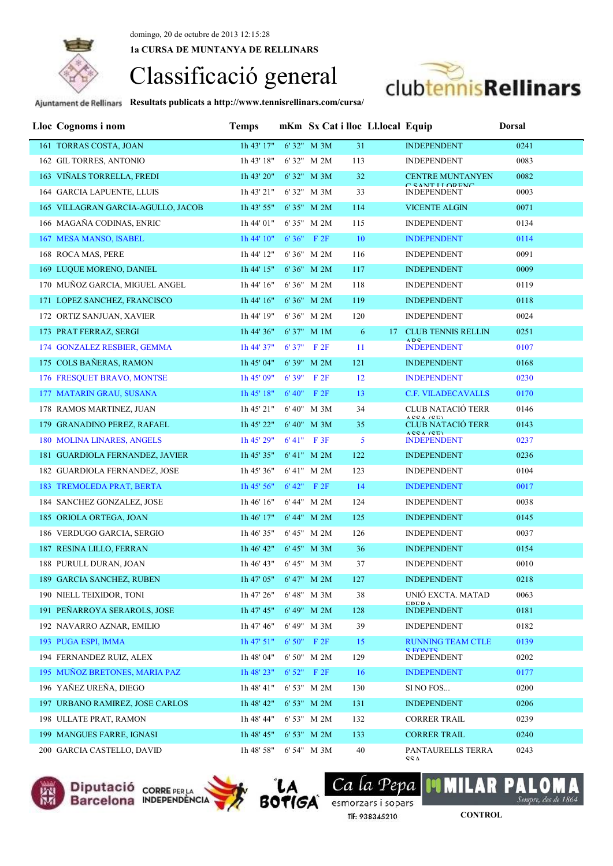**1a CURSA DE MUNTANYA DE RELLINARS**

# Classificació general



| Lloc Cognoms i nom                 | <b>Temps</b> |        |                  |     | mKm Sx Cat i lloc Ll.local Equip |                                            | <b>Dorsal</b> |
|------------------------------------|--------------|--------|------------------|-----|----------------------------------|--------------------------------------------|---------------|
| 161 TORRAS COSTA, JOAN             | 1h 43' 17"   |        | 6'32" M 3M       | 31  |                                  | <b>INDEPENDENT</b>                         | 0241          |
| 162 GIL TORRES, ANTONIO            | 1h 43' 18"   |        | 6'32" M 2M       | 113 |                                  | <b>INDEPENDENT</b>                         | 0083          |
| 163 VIÑALS TORRELLA, FREDI         | 1h 43' 20"   |        | 6'32" M 3M       | 32  |                                  | <b>CENTRE MUNTANYEN</b>                    | 0082          |
| 164 GARCIA LAPUENTE, LLUIS         | 1h 43' 21"   |        | 6'32" M 3M       | 33  |                                  | C CANT I I ODEMC<br><b>INDEPENDENT</b>     | 0003          |
| 165 VILLAGRAN GARCIA-AGULLO, JACOB | 1h 43' 55"   |        | 6'35" M 2M       | 114 |                                  | <b>VICENTE ALGIN</b>                       | 0071          |
| 166 MAGAÑA CODINAS, ENRIC          | 1h 44' 01"   |        | 6'35" M 2M       | 115 |                                  | <b>INDEPENDENT</b>                         | 0134          |
| 167 MESA MANSO, ISABEL             | 1h 44' 10"   |        | $6'36''$ F $2F$  | 10  |                                  | <b>INDEPENDENT</b>                         | 0114          |
| 168 ROCA MAS, PERE                 | 1h 44' 12"   |        | 6'36" M 2M       | 116 |                                  | <b>INDEPENDENT</b>                         | 0091          |
| 169 LUQUE MORENO, DANIEL           | 1h 44' 15"   |        | 6' 36" M 2M      | 117 |                                  | <b>INDEPENDENT</b>                         | 0009          |
| 170 MUÑOZ GARCIA, MIGUEL ANGEL     | 1h 44' 16"   |        | 6' 36" M 2M      | 118 |                                  | <b>INDEPENDENT</b>                         | 0119          |
| 171 LOPEZ SANCHEZ, FRANCISCO       | 1h 44' 16"   |        | 6'36" M 2M       | 119 |                                  | <b>INDEPENDENT</b>                         | 0118          |
| 172 ORTIZ SANJUAN, XAVIER          | 1h 44' 19"   |        | 6'36" M 2M       | 120 |                                  | <b>INDEPENDENT</b>                         | 0024          |
| 173 PRAT FERRAZ, SERGI             | 1h 44' 36"   |        | 6'37" M 1M       | 6   |                                  | 17 CLUB TENNIS RELLIN                      | 0251          |
| 174 GONZALEZ RESBIER, GEMMA        | 1h 44' 37"   |        | $6'37''$ F 2F    | 11  |                                  | <b>ADC</b><br><b>INDEPENDENT</b>           | 0107          |
| 175 COLS BAÑERAS, RAMON            | 1h 45' 04"   |        | 6' 39" M 2M      | 121 |                                  | <b>INDEPENDENT</b>                         | 0168          |
| 176 FRESQUET BRAVO, MONTSE         | 1h 45' 09"   | 6'39"  | F2F              | 12  |                                  | <b>INDEPENDENT</b>                         | 0230          |
| 177 MATARIN GRAU, SUSANA           | 1h 45' 18"   | 6' 40" | F2F              | 13  |                                  | <b>C.F. VILADECAVALLS</b>                  | 0170          |
| 178 RAMOS MARTINEZ, JUAN           | 1h 45' 21"   |        | $6' 40''$ M $3M$ | 34  |                                  | CLUB NATACIÓ TERR<br>ACCA (CE)             | 0146          |
| 179 GRANADINO PEREZ, RAFAEL        | 1h 45' 22"   |        | $6' 40''$ M $3M$ | 35  |                                  | <b>CLUB NATACIO TERR</b>                   | 0143          |
| 180 MOLINA LINARES, ANGELS         | 1h 45' 29"   |        | $6'41''$ F 3F    | 5   |                                  | $ACCA$ $/CD$<br><b>INDEPENDENT</b>         | 0237          |
| 181 GUARDIOLA FERNANDEZ, JAVIER    | 1h 45' 35"   |        | $6' 41''$ M $2M$ | 122 |                                  | <b>INDEPENDENT</b>                         | 0236          |
| 182 GUARDIOLA FERNANDEZ, JOSE      | 1h 45' 36"   |        | 6' 41" M 2M      | 123 |                                  | <b>INDEPENDENT</b>                         | 0104          |
| 183 TREMOLEDA PRAT, BERTA          | 1h 45' 56"   |        | 6' 42" F 2F      | 14  |                                  | <b>INDEPENDENT</b>                         | 0017          |
| 184 SANCHEZ GONZALEZ, JOSE         | 1h 46' 16"   |        | 6'44" M 2M       | 124 |                                  | <b>INDEPENDENT</b>                         | 0038          |
| 185 ORIOLA ORTEGA, JOAN            | 1h 46' 17"   |        | 6' 44" M 2M      | 125 |                                  | <b>INDEPENDENT</b>                         | 0145          |
| 186 VERDUGO GARCIA, SERGIO         | 1h 46' 35"   |        | 6' 45" M 2M      | 126 |                                  | <b>INDEPENDENT</b>                         | 0037          |
| 187 RESINA LILLO, FERRAN           | 1h 46' 42"   |        | 6' 45" M 3M      | 36  |                                  | <b>INDEPENDENT</b>                         | 0154          |
| 188 PURULL DURAN, JOAN             | 1h 46' 43"   |        | 6' 45" M 3M      | 37  |                                  | <b>INDEPENDENT</b>                         | 0010          |
| 189 GARCIA SANCHEZ, RUBEN          | 1h47'05"     |        | 6' 47" M 2M      | 127 |                                  | <b>INDEPENDENT</b>                         | 0218          |
| 190 NIELL TEIXIDOR, TONI           | 1h 47' 26"   |        | 6' 48" M 3M      | 38  |                                  | UNIÓ EXCTA, MATAD<br><b>CDCDA</b>          | 0063          |
| 191 PEÑARROYA SERAROLS, JOSE       | 1h 47' 45"   |        | 6' 49" M 2M      | 128 |                                  | <b>INDEPENDENT</b>                         | 0181          |
| 192 NAVARRO AZNAR, EMILIO          | 1h 47' 46"   |        | 6' 49" M 3M      | 39  |                                  | <b>INDEPENDENT</b>                         | 0182          |
| 193 PUGA ESPI, IMMA                | 1h 47' 51"   |        | 6' 50" F 2F      | 15  |                                  | <b>RUNNING TEAM CTLE</b><br><b>C EQMTC</b> | 0139          |
| 194 FERNANDEZ RUIZ, ALEX           | 1h 48' 04"   |        | 6' 50" M 2M      | 129 |                                  | <b>INDEPENDENT</b>                         | 0202          |
| 195 MUÑOZ BRETONES, MARIA PAZ      | 1h 48' 23"   |        | 6' 52" F 2F      | 16  |                                  | <b>INDEPENDENT</b>                         | 0177          |
| 196 YAÑEZ UREÑA, DIEGO             | 1h 48' 41"   |        | 6' 53" M 2M      | 130 |                                  | SI NO FOS                                  | 0200          |
| 197 URBANO RAMIREZ, JOSE CARLOS    | 1h 48' 42"   |        | 6' 53" M 2M      | 131 |                                  | <b>INDEPENDENT</b>                         | 0206          |
| 198 ULLATE PRAT, RAMON             | 1h 48' 44"   |        | 6' 53" M 2M      | 132 |                                  | <b>CORRER TRAIL</b>                        | 0239          |
| 199 MANGUES FARRE, IGNASI          | 1h 48' 45"   |        | 6' 53" M 2M      | 133 |                                  | <b>CORRER TRAIL</b>                        | 0240          |
| 200 GARCIA CASTELLO, DAVID         | 1h 48' 58"   |        | 6' 54" M 3M      | 40  |                                  | PANTAURELLS TERRA<br>C C A                 | 0243          |







Ca la Pepa esmorzars i sopars Tlf: 938345210